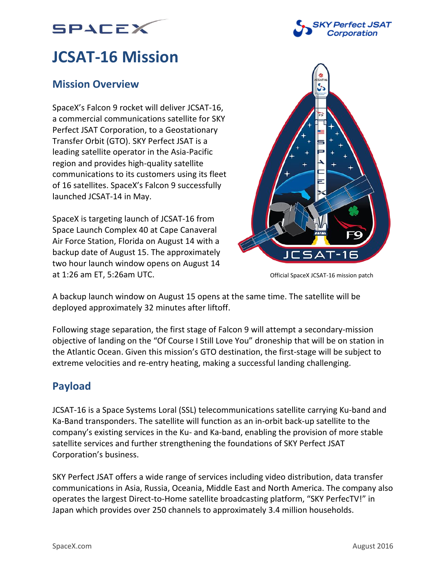



# **JCSAT-16 Mission**

# **Mission Overview**

SpaceX's Falcon 9 rocket will deliver JCSAT-16, a commercial communications satellite for SKY Perfect JSAT Corporation, to a Geostationary Transfer Orbit (GTO). SKY Perfect JSAT is a leading satellite operator in the Asia-Pacific region and provides high-quality satellite communications to its customers using its fleet of 16 satellites. SpaceX's Falcon 9 successfully launched JCSAT-14 in May.

SpaceX is targeting launch of JCSAT-16 from Space Launch Complex 40 at Cape Canaveral Air Force Station, Florida on August 14 with a backup date of August 15. The approximately two hour launch window opens on August 14 at 1:26 am ET, 5:26am UTC.



Official SpaceX JCSAT-16 mission patch

A backup launch window on August 15 opens at the same time. The satellite will be deployed approximately 32 minutes after liftoff.

Following stage separation, the first stage of Falcon 9 will attempt a secondary-mission objective of landing on the "Of Course I Still Love You" droneship that will be on station in the Atlantic Ocean. Given this mission's GTO destination, the first-stage will be subject to extreme velocities and re-entry heating, making a successful landing challenging.

# **Payload**

JCSAT-16 is a Space Systems Loral (SSL) telecommunications satellite carrying Ku-band and Ka-Band transponders. The satellite will function as an in-orbit back-up satellite to the company's existing services in the Ku- and Ka-band, enabling the provision of more stable satellite services and further strengthening the foundations of SKY Perfect JSAT Corporation's business.

SKY Perfect JSAT offers a wide range of services including video distribution, data transfer communications in Asia, Russia, Oceania, Middle East and North America. The company also operates the largest Direct-to-Home satellite broadcasting platform, "SKY PerfecTV!" in Japan which provides over 250 channels to approximately 3.4 million households.